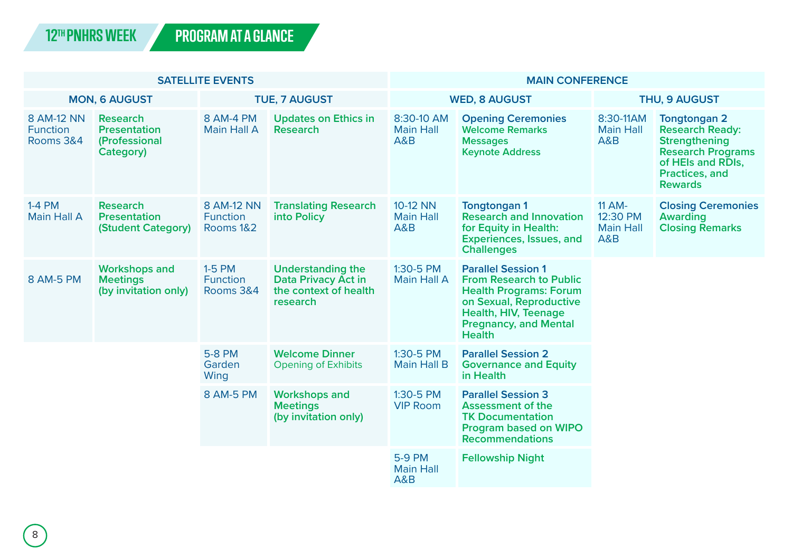| <b>SATELLITE EVENTS</b>                    |                                                                      |                                            |                                                                                      | <b>MAIN CONFERENCE</b>                           |                                                                                                                                                                                                  |                                                      |                                                                                                                                                            |
|--------------------------------------------|----------------------------------------------------------------------|--------------------------------------------|--------------------------------------------------------------------------------------|--------------------------------------------------|--------------------------------------------------------------------------------------------------------------------------------------------------------------------------------------------------|------------------------------------------------------|------------------------------------------------------------------------------------------------------------------------------------------------------------|
| <b>MON, 6 AUGUST</b>                       |                                                                      | <b>TUE, 7 AUGUST</b>                       |                                                                                      | <b>WED, 8 AUGUST</b>                             |                                                                                                                                                                                                  | <b>THU, 9 AUGUST</b>                                 |                                                                                                                                                            |
| 8 AM-12 NN<br><b>Function</b><br>Rooms 3&4 | <b>Research</b><br><b>Presentation</b><br>(Professional<br>Category) | 8 AM-4 PM<br>Main Hall A                   | <b>Updates on Ethics in</b><br>Research                                              | 8:30-10 AM<br><b>Main Hall</b><br><b>A&amp;B</b> | <b>Opening Ceremonies</b><br><b>Welcome Remarks</b><br><b>Messages</b><br><b>Keynote Address</b>                                                                                                 | 8:30-11AM<br><b>Main Hall</b><br>A&B                 | <b>Tongtongan 2</b><br><b>Research Ready:</b><br><b>Strengthening</b><br><b>Research Programs</b><br>of HEIs and RDIs,<br>Practices, and<br><b>Rewards</b> |
| $1-4$ PM<br>Main Hall A                    | Research<br><b>Presentation</b><br>(Student Category)                | 8 AM-12 NN<br><b>Function</b><br>Rooms 1&2 | <b>Translating Research</b><br>into Policy                                           | 10-12 NN<br><b>Main Hall</b><br><b>A&amp;B</b>   | <b>Tongtongan1</b><br><b>Research and Innovation</b><br>for Equity in Health:<br>Experiences, Issues, and<br><b>Challenges</b>                                                                   | <b>11 AM-</b><br>12:30 PM<br><b>Main Hall</b><br>A&B | <b>Closing Ceremonies</b><br>Awarding<br><b>Closing Remarks</b>                                                                                            |
| 8 AM-5 PM                                  | <b>Workshops and</b><br><b>Meetings</b><br>(by invitation only)      | 1-5 PM<br><b>Function</b><br>Rooms 3&4     | <b>Understanding the</b><br>Data Privacy Act in<br>the context of health<br>research | 1:30-5 PM<br>Main Hall A                         | <b>Parallel Session 1</b><br><b>From Research to Public</b><br><b>Health Programs: Forum</b><br>on Sexual, Reproductive<br>Health, HIV, Teenage<br><b>Pregnancy, and Mental</b><br><b>Health</b> |                                                      |                                                                                                                                                            |
|                                            |                                                                      | 5-8 PM<br>Garden<br>Wing                   | <b>Welcome Dinner</b><br><b>Opening of Exhibits</b>                                  | $1:30 - 5$ PM<br>Main Hall B                     | <b>Parallel Session 2</b><br><b>Governance and Equity</b><br>in Health                                                                                                                           |                                                      |                                                                                                                                                            |
|                                            |                                                                      | 8 AM-5 PM                                  | <b>Workshops and</b><br><b>Meetings</b><br>(by invitation only)                      | 1:30-5 PM<br><b>VIP Room</b>                     | <b>Parallel Session 3</b><br><b>Assessment of the</b><br><b>TK Documentation</b><br><b>Program based on WIPO</b><br><b>Recommendations</b>                                                       |                                                      |                                                                                                                                                            |
|                                            |                                                                      |                                            |                                                                                      | 5-9 PM<br><b>Main Hall</b><br>A&B                | <b>Fellowship Night</b>                                                                                                                                                                          |                                                      |                                                                                                                                                            |